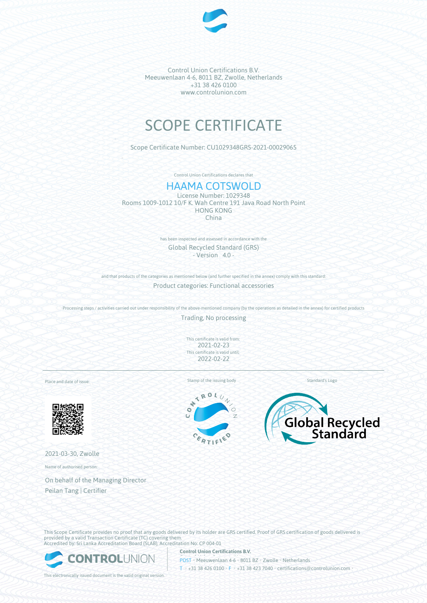

Control Union Certifications B.V. Meeuwenlaan 4-6, 8011 BZ, Zwolle, Netherlands +31 38 426 0100 www.controlunion.com

# SCOPE CERTIFICATE

Scope Certificate Number: CU1029348GRS-2021-00029065

Control Union Certifications declares that

# HAAMA COTSWOLD

License Number: 1029348 Rooms 1009-1012 10/F K. Wah Centre 191 Java Road North Point HONG KONG China

> has been inspected and assessed in accordance with the Global Recycled Standard (GRS) - Version 4.0 -

and that products of the categories as mentioned below (and further specified in the annex) comply with this standard: Product categories: Functional accessories

Processing steps / activities carried out under responsibility of the above-mentioned company (by the operations as detailed in the annex) for certified products

Trading, No processing

This certificate is valid from: 2021-02-23 This certificate is valid until: 2022-02-22

Place and date of issue:



2021-03-30, Zwolle

Name of authorised person:

On behalf of the Managing Director Peilan Tang | Certifier

Stamp of the issuing body Standard's Logo

ROL  $\overline{\mathbf{X}}$  $\ddot{\phantom{0}}$  $\bullet$ Ŧ.





This Scope Certificate provides no proof that any goods delivered by its holder are GRS certified. Proof of GRS certification of goods delivered is provided by a valid Transaction Certificate (TC) covering them. Accredited by: Sri Lanka Accreditation Board (SLAB), Accreditation No: CP 004-01



**Control Union Certifications B.V.** POST • Meeuwenlaan 4-6 • 8011 BZ • Zwolle • Netherlands T • +31 38 426 0100 • F • +31 38 423 7040 • certifications@controlunion.com •

This electronically issued document is the valid original version.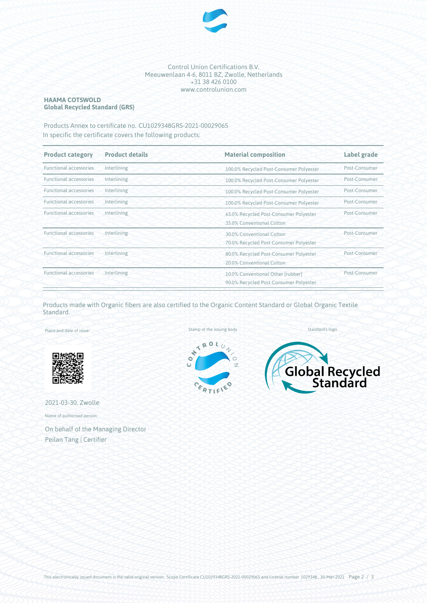

#### Control Union Certifications B.V. Meeuwenlaan 4-6, 8011 BZ, Zwolle, Netherlands +31 38 426 0100 www.controlunion.com

## **HAAMA COTSWOLD Global Recycled Standard (GRS)**

Products Annex to certificate no. CU1029348GRS-2021-00029065 In specific the certificate covers the following products:

| <b>Product category</b>       | <b>Product details</b> | <b>Material composition</b>                                                          | Label grade   |  |
|-------------------------------|------------------------|--------------------------------------------------------------------------------------|---------------|--|
| <b>Functional accessories</b> | Interlining            | 100.0% Recycled Post-Consumer Polyester                                              | Post-Consumer |  |
| <b>Functional accessories</b> | Interlining            | 100.0% Recycled Post-Consumer Polyester                                              | Post-Consumer |  |
| <b>Functional accessories</b> | Interlining            | 100.0% Recycled Post-Consumer Polyester                                              | Post-Consumer |  |
| <b>Functional accessories</b> | Interlining            | 100.0% Recycled Post-Consumer Polyester                                              | Post-Consumer |  |
| <b>Functional accessories</b> | Interlining            | 65.0% Recycled Post-Consumer Polyester<br>35.0% Conventional Cotton                  | Post-Consumer |  |
| <b>Functional accessories</b> | Interlining            | Post-Consumer<br>30.0% Conventional Cotton<br>70.0% Recycled Post-Consumer Polyester |               |  |
| <b>Functional accessories</b> | Interlining            | Post-Consumer<br>80.0% Recycled Post-Consumer Polyester<br>20.0% Conventional Cotton |               |  |
| <b>Functional accessories</b> | Interlining            | 10.0% Conventional Other [rubber]<br>90.0% Recycled Post-Consumer Polyester          | Post-Consumer |  |

Products made with Organic fibers are also certified to the Organic Content Standard or Global Organic Textile Standard.

Place and date of issue:



2021-03-30, Zwolle

Name of authorised person:

On behalf of the Managing Director Peilan Tang | Certifier